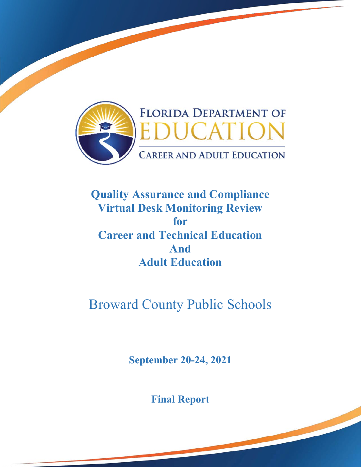

## **Quality Assurance and Compliance Virtual Desk Monitoring Review for Career and Technical Education And Adult Education**

# Broward County Public Schools

**September 20-24, 2021** 

**Final Report**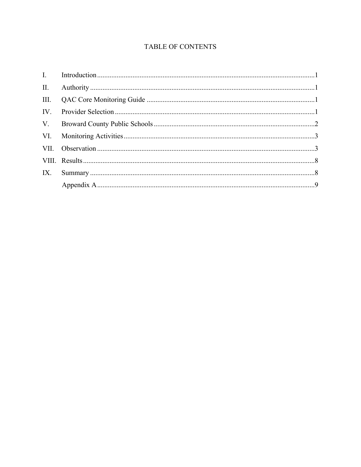## TABLE OF CONTENTS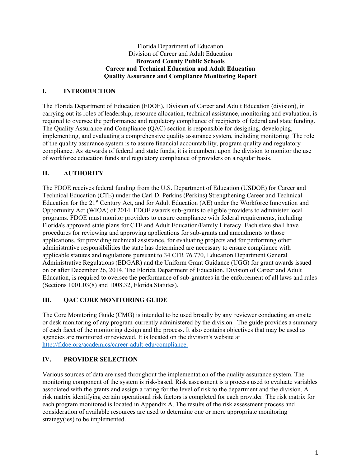#### Florida Department of Education Division of Career and Adult Education **Broward County Public Schools Career and Technical Education and Adult Education Quality Assurance and Compliance Monitoring Report**

## **I. INTRODUCTION**

 required to oversee the performance and regulatory compliance of recipients of federal and state funding. The Florida Department of Education (FDOE), Division of Career and Adult Education (division), in carrying out its roles of leadership, resource allocation, technical assistance, monitoring and evaluation, is The Quality Assurance and Compliance (QAC) section is responsible for designing, developing, implementing, and evaluating a comprehensive quality assurance system, including monitoring. The role of the quality assurance system is to assure financial accountability, program quality and regulatory compliance. As stewards of federal and state funds, it is incumbent upon the division to monitor the use of workforce education funds and regulatory compliance of providers on a regular basis.

#### **II. AUTHORITY**

The FDOE receives federal funding from the U.S. Department of Education (USDOE) for Career and Technical Education (CTE) under the Carl D. Perkins (Perkins) Strengthening Career and Technical Education for the 21st Century Act, and for Adult Education (AE) under the Workforce Innovation and Opportunity Act (WIOA) of 2014. FDOE awards sub-grants to eligible providers to administer local programs. FDOE must monitor providers to ensure compliance with federal requirements, including Florida's approved state plans for CTE and Adult Education/Family Literacy. Each state shall have procedures for reviewing and approving applications for sub-grants and amendments to those applications, for providing technical assistance, for evaluating projects and for performing other administrative responsibilities the state has determined are necessary to ensure compliance with applicable statutes and regulations pursuant to 34 CFR 76.770, Education Department General Administrative Regulations (EDGAR) and the Uniform Grant Guidance (UGG) for grant awards issued on or after December 26, 2014. The Florida Department of Education, Division of Career and Adult Education, is required to oversee the performance of sub-grantees in the enforcement of all laws and rules (Sections 1001.03(8) and 1008.32, Florida Statutes).

## **III. QAC CORE MONITORING GUIDE**

 The Core Monitoring Guide (CMG) is intended to be used broadly by any reviewer conducting an onsite or desk monitoring of any program currently administered by the division. The guide provides a summary of each facet of the monitoring design and the process. It also contains objectives that may be used as agencies are monitored or reviewed. It is located on the division's website at http://fldoe.org/academics/career-adult-edu/compliance.

#### **IV. PROVIDER SELECTION**

Various sources of data are used throughout the implementation of the quality assurance system. The monitoring component of the system is risk-based. Risk assessment is a process used to evaluate variables associated with the grants and assign a rating for the level of risk to the department and the division. A risk matrix identifying certain operational risk factors is completed for each provider. The risk matrix for each program monitored is located in Appendix A. The results of the risk assessment process and consideration of available resources are used to determine one or more appropriate monitoring strategy(ies) to be implemented.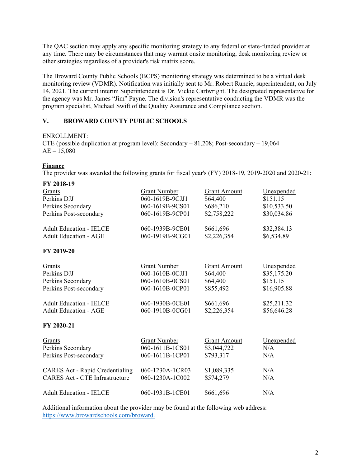The QAC section may apply any specific monitoring strategy to any federal or state-funded provider at any time. There may be circumstances that may warrant onsite monitoring, desk monitoring review or other strategies regardless of a provider's risk matrix score.

 monitoring review (VDMR). Notification was initially sent to Mr. Robert Runcie, superintendent, on July The Broward County Public Schools (BCPS) monitoring strategy was determined to be a virtual desk 14, 2021. The current interim Superintendent is Dr. Vickie Cartwright. The designated representative for the agency was Mr. James "Jim" Payne. The division's representative conducting the VDMR was the program specialist, Michael Swift of the Quality Assurance and Compliance section.

#### **V. BROWARD COUNTY PUBLIC SCHOOLS**

#### ENROLLMENT:

 CTE (possible duplication at program level): Secondary – 81,208; Post-secondary – 19,064  $AE - 15,080$ 

#### **Finance**

The provider was awarded the following grants for fiscal year's (FY) 2018-19, 2019-2020 and 2020-21:

| FY 2018-19                             |                     |                     |             |
|----------------------------------------|---------------------|---------------------|-------------|
| Grants                                 | <b>Grant Number</b> | <b>Grant Amount</b> | Unexpended  |
| Perkins DJJ                            | 060-1619B-9CJJ1     | \$64,400            | \$151.15    |
| Perkins Secondary                      | 060-1619B-9CS01     | \$686,210           | \$10,533.50 |
| Perkins Post-secondary                 | 060-1619B-9CP01     | \$2,758,222         | \$30,034.86 |
| <b>Adult Education - IELCE</b>         | 060-1939B-9CE01     | \$661,696           | \$32,384.13 |
| <b>Adult Education - AGE</b>           | 060-1919B-9CG01     | \$2,226,354         | \$6,534.89  |
| FY 2019-20                             |                     |                     |             |
| Grants                                 | <b>Grant Number</b> | <b>Grant Amount</b> | Unexpended  |
| Perkins DJJ                            | 060-1610B-0CJJ1     | \$64,400            | \$35,175.20 |
| Perkins Secondary                      | 060-1610B-0CS01     | \$64,400            | \$151.15    |
| Perkins Post-secondary                 | 060-1610B-0CP01     | \$855,492           | \$16,905.88 |
| <b>Adult Education - IELCE</b>         | 060-1930B-0CE01     | \$661,696           | \$25,211.32 |
| <b>Adult Education - AGE</b>           | 060-1910B-0CG01     | \$2,226,354         | \$56,646.28 |
| FY 2020-21                             |                     |                     |             |
| Grants                                 | <b>Grant Number</b> | <b>Grant Amount</b> | Unexpended  |
| Perkins Secondary                      | 060-1611B-1CS01     | \$3,044,722         | N/A         |
| Perkins Post-secondary                 | 060-1611B-1CP01     | \$793,317           | N/A         |
| <b>CARES Act - Rapid Credentialing</b> | 060-1230A-1CR03     | \$1,089,335         | N/A         |
| <b>CARES Act - CTE Infrastructure</b>  | 060-1230A-1C002     | \$574,279           | N/A         |
| <b>Adult Education - IELCE</b>         | 060-1931B-1CE01     | \$661,696           | N/A         |
|                                        |                     |                     |             |

Additional information about the provider may be found at the following web address: https://www.browardschools.com/broward.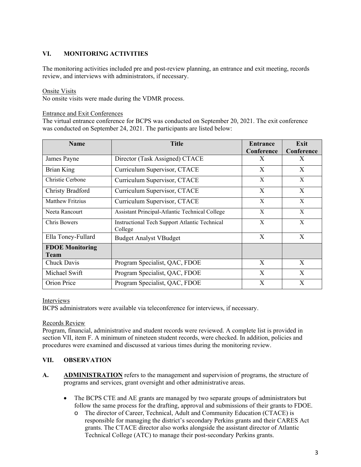## **VI. MONITORING ACTIVITIES**

 review, and interviews with administrators, if necessary. The monitoring activities included pre and post-review planning, an entrance and exit meeting, records

#### Onsite Visits

No onsite visits were made during the VDMR process.

#### Entrance and Exit Conferences

The virtual entrance conference for BCPS was conducted on September 20, 2021. The exit conference was conducted on September 24, 2021. The participants are listed below:

| <b>Name</b>                           | <b>Title</b>                                             | Entrance<br>Conference | Exit<br>Conference |
|---------------------------------------|----------------------------------------------------------|------------------------|--------------------|
| James Payne                           | Director (Task Assigned) CTACE                           | X                      | X                  |
| Brian King                            | Curriculum Supervisor, CTACE                             | X                      | X                  |
| Christie Cerbone                      | Curriculum Supervisor, CTACE                             | X                      | X                  |
| Christy Bradford                      | Curriculum Supervisor, CTACE                             | X                      | X                  |
| <b>Matthew Fritzius</b>               | Curriculum Supervisor, CTACE                             | X                      | X                  |
| Neeta Rancourt                        | Assistant Principal-Atlantic Technical College           | X                      | X                  |
| Chris Bowers                          | Instructional Tech Support Atlantic Technical<br>College | X                      | X                  |
| Ella Toney-Fullard                    | <b>Budget Analyst VBudget</b>                            | X                      | X                  |
| <b>FDOE Monitoring</b><br><b>Team</b> |                                                          |                        |                    |
| Chuck Davis                           | Program Specialist, QAC, FDOE                            | X                      | X                  |
| Michael Swift                         | Program Specialist, QAC, FDOE                            | X                      | X                  |
| Orion Price                           | Program Specialist, QAC, FDOE                            | X                      | Χ                  |

#### Interviews

BCPS administrators were available via teleconference for interviews, if necessary.

#### Records Review

Program, financial, administrative and student records were reviewed. A complete list is provided in section VII, item F. A minimum of nineteen student records, were checked. In addition, policies and procedures were examined and discussed at various times during the monitoring review.

#### **VII. OBSERVATION**

- A. **ADMINISTRATION** refers to the management and supervision of programs, the structure of programs and services, grant oversight and other administrative areas.
	- The BCPS CTE and AE grants are managed by two separate groups of administrators but follow the same process for the drafting, approval and submissions of their grants to FDOE.
		- o The director of Career, Technical, Adult and Community Education (CTACE) is responsible for managing the district's secondary Perkins grants and their CARES Act grants. The CTACE director also works alongside the assistant director of Atlantic Technical College (ATC) to manage their post-secondary Perkins grants.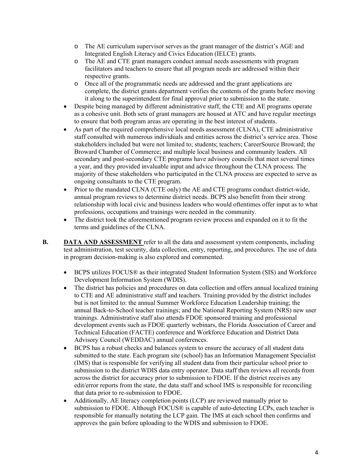- o The AE curriculum supervisor serves as the grant manager of the district's AGE and Integrated English Literacy and Civics Education (IELCE) grants.
- o The AE and CTE grant managers conduct annual needs assessments with program facilitators and teachers to ensure that all program needs are addressed within their respective grants.
- o Once all of the programmatic needs are addressed and the grant applications are complete, the district grants department verifies the contents of the grants before moving it along to the superintendent for final approval prior to submission to the state.
- Despite being managed by different administrative staff, the CTE and AE programs operate as a cohesive unit. Both sets of grant managers are housed at ATC and have regular meetings to ensure that both program areas are operating in the best interest of students.
- As part of the required comprehensive local needs assessment (CLNA), CTE administrative staff consulted with numerous individuals and entities across the district's service area. Those stakeholders included but were not limited to; students; teachers; CareerSource Broward; the Broward Chamber of Commerce; and multiple local business and community leaders. All secondary and post-secondary CTE programs have advisory councils that meet several times a year, and they provided invaluable input and advice throughout the CLNA process. The majority of these stakeholders who participated in the CLNA process are expected to serve as ongoing consultants to the CTE program.
- Prior to the mandated CLNA (CTE only) the AE and CTE programs conduct district-wide, annual program reviews to determine district needs. BCPS also benefitt from their strong relationship with local civic and business leaders who would oftentimes offer input as to what professions, occupations and trainings were needed in the community.
- The district took the aforementioned program review process and expanded on it to fit the terms and guidelines of the CLNA.
- **B. DATA AND ASSESSMENT** refer to all the data and assessment system components, including test administration, test security, data collection, entry, reporting, and procedures. The use of data in program decision-making is also explored and commented.
	- BCPS utilizes FOCUS® as their integrated Student Information System (SIS) and Workforce Development Information System (WDIS).
	- The district has policies and procedures on data collection and offers annual localized training to CTE and AE administrative staff and teachers. Training provided by the district includes but is not limited to: the annual Summer Workforce Education Leadership training; the annual Back-to-School teacher trainings; and the National Reporting System (NRS) new user trainings. Administrative staff also attends FDOE sponsored training and professional development events such as FDOE quarterly webinars, the Florida Association of Career and Technical Education (FACTE) conference and Workforce Education and District Data Advisory Council (WEDDAC) annual conferences.
	- BCPS has a robust checks and balances system to ensure the accuracy of all student data submitted to the state. Each program site (school) has an Information Management Specialist (IMS) that is responsible for verifying all student data from their particular school prior to submission to the district WDIS data entry operator. Data staff then reviews all records from across the district for accuracy prior to submission to FDOE. If the district receives any edit/error reports from the state, the data staff and school IMS is responsible for reconciling that data prior to re-submission to FDOE.
	- Additionally, AE literacy completion points (LCP) are reviewed manually prior to submission to FDOE. Although FOCUS® is capable of auto-detecting LCPs, each teacher is responsible for manually notating the LCP gain. The IMS at each school then confirms and approves the gain before uploading to the WDIS and submission to FDOE.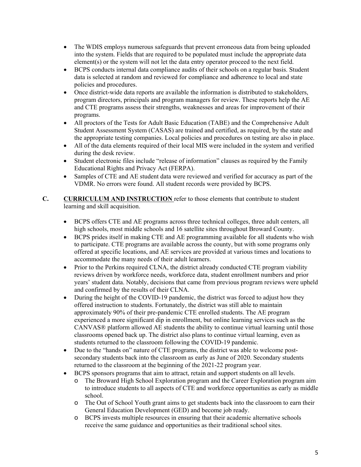- The WDIS employs numerous safeguards that prevent erroneous data from being uploaded into the system. Fields that are required to be populated must include the appropriate data element(s) or the system will not let the data entry operator proceed to the next field.
- BCPS conducts internal data compliance audits of their schools on a regular basis. Student data is selected at random and reviewed for compliance and adherence to local and state policies and procedures.
- Once district-wide data reports are available the information is distributed to stakeholders, program directors, principals and program managers for review. These reports help the AE and CTE programs assess their strengths, weaknesses and areas for improvement of their programs.
- All proctors of the Tests for Adult Basic Education (TABE) and the Comprehensive Adult Student Assessment System (CASAS) are trained and certified, as required, by the state and the appropriate testing companies. Local policies and procedures on testing are also in place.
- All of the data elements required of their local MIS were included in the system and verified during the desk review.
- Student electronic files include "release of information" clauses as required by the Family Educational Rights and Privacy Act (FERPA).
- VDMR. No errors were found. All student records were provided by BCPS. Samples of CTE and AE student data were reviewed and verified for accuracy as part of the
- **C. CURRICULUM AND INSTRUCTION** refer to those elements that contribute to student learning and skill acquisition.
	- high schools, most middle schools and 16 satellite sites throughout Broward County. BCPS offers CTE and AE programs across three technical colleges, three adult centers, all
	- BCPS prides itself in making CTE and AE programming available for all students who wish to participate. CTE programs are available across the county, but with some programs only offered at specific locations, and AE services are provided at various times and locations to accommodate the many needs of their adult learners.
	- Prior to the Perkins required CLNA, the district already conducted CTE program viability reviews driven by workforce needs, workforce data, student enrollment numbers and prior years' student data. Notably, decisions that came from previous program reviews were upheld and confirmed by the results of their CLNA.
	- During the height of the COVID-19 pandemic, the district was forced to adjust how they offered instruction to students. Fortunately, the district was still able to maintain approximately 90% of their pre-pandemic CTE enrolled students. The AE program experienced a more significant dip in enrollment, but online learning services such as the CANVAS® platform allowed AE students the ability to continue virtual learning until those classrooms opened back up. The district also plans to continue virtual learning, even as students returned to the classroom following the COVID-19 pandemic.
	- secondary students back into the classroom as early as June of 2020. Secondary students Due to the "hands on" nature of CTE programs, the district was able to welcome postreturned to the classroom at the beginning of the 2021-22 program year.
	- BCPS sponsors programs that aim to attract, retain and support students on all levels.
		- o The Broward High School Exploration program and the Career Exploration program aim to introduce students to all aspects of CTE and workforce opportunities as early as middle school.
		- o The Out of School Youth grant aims to get students back into the classroom to earn their General Education Development (GED) and become job ready.
		- o BCPS invests multiple resources in ensuring that their academic alternative schools receive the same guidance and opportunities as their traditional school sites.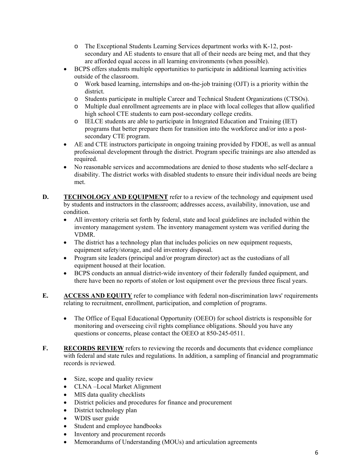- $\circ$  The Exceptional Students Learning Services department works with K-12, postsecondary and AE students to ensure that all of their needs are being met, and that they are afforded equal access in all learning environments (when possible).
- outside of the classroom. BCPS offers students multiple opportunities to participate in additional learning activities
	- $\circ$  Work based learning, internships and on-the-job training (OJT) is a priority within the district.
	- o Students participate in multiple Career and Technical Student Organizations (CTSOs).
	- o Multiple dual enrollment agreements are in place with local colleges that allow qualified high school CTE students to earn post-secondary college credits.
	- o IELCE students are able to participate in Integrated Education and Training (IET) programs that better prepare them for transition into the workforce and/or into a postsecondary CTE program.
- AE and CTE instructors participate in ongoing training provided by FDOE, as well as annual professional development through the district. Program specific trainings are also attended as required.
- No reasonable services and accommodations are denied to those students who self-declare a disability. The district works with disabled students to ensure their individual needs are being met.
- **D. TECHNOLOGY AND EQUIPMENT** refer to a review of the technology and equipment used by students and instructors in the classroom; addresses access, availability, innovation, use and condition.
	- All inventory criteria set forth by federal, state and local guidelines are included within the inventory management system. The inventory management system was verified during the VDMR.
	- The district has a technology plan that includes policies on new equipment requests, equipment safety/storage, and old inventory disposal.
	- Program site leaders (principal and/or program director) act as the custodians of all equipment housed at their location.
	- BCPS conducts an annual district-wide inventory of their federally funded equipment, and there have been no reports of stolen or lost equipment over the previous three fiscal years.
- **E. ACCESS AND EQUITY** refer to compliance with federal non-discrimination laws' requirements relating to recruitment, enrollment, participation, and completion of programs.
	- questions or concerns, please contact the OEEO at 850-245-0511. • The Office of Equal Educational Opportunity (OEEO) for school districts is responsible for monitoring and overseeing civil rights compliance obligations. Should you have any
- **F. RECORDS REVIEW** refers to reviewing the records and documents that evidence compliance with federal and state rules and regulations. In addition, a sampling of financial and programmatic records is reviewed.
	- Size, scope and quality review
	- CLNA –Local Market Alignment
	- MIS data quality checklists
	- District policies and procedures for finance and procurement
	- District technology plan
	- WDIS user guide
	- Student and employee handbooks
	- Inventory and procurement records
	- Memorandums of Understanding (MOUs) and articulation agreements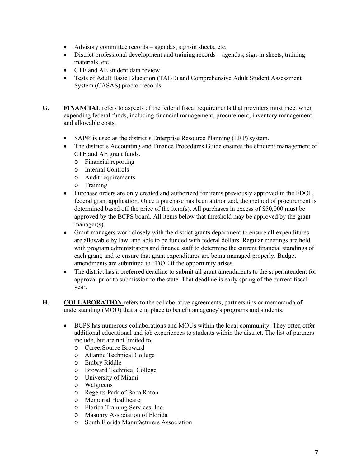- Advisory committee records agendas, sign-in sheets, etc.
- materials, etc. District professional development and training records – agendas, sign-in sheets, training
- CTE and AE student data review
- Tests of Adult Basic Education (TABE) and Comprehensive Adult Student Assessment System (CASAS) proctor records
- **G. FINANCIAL** refers to aspects of the federal fiscal requirements that providers must meet when expending federal funds, including financial management, procurement, inventory management and allowable costs.
	- SAP® is used as the district's Enterprise Resource Planning (ERP) system.
	- The district's Accounting and Finance Procedures Guide ensures the efficient management of CTE and AE grant funds.
		- o Financial reporting
		- o Internal Controls
		- o Audit requirements
		- o Training
	- Purchase orders are only created and authorized for items previously approved in the FDOE federal grant application. Once a purchase has been authorized, the method of procurement is determined based off the price of the item(s). All purchases in excess of \$50,000 must be approved by the BCPS board. All items below that threshold may be approved by the grant manager(s).
	- Grant managers work closely with the district grants department to ensure all expenditures are allowable by law, and able to be funded with federal dollars. Regular meetings are held with program administrators and finance staff to determine the current financial standings of each grant, and to ensure that grant expenditures are being managed properly. Budget amendments are submitted to FDOE if the opportunity arises.
	- The district has a preferred deadline to submit all grant amendments to the superintendent for approval prior to submission to the state. That deadline is early spring of the current fiscal year.
- **H. COLLABORATION** refers to the collaborative agreements, partnerships or memoranda of understanding (MOU) that are in place to benefit an agency's programs and students.
	- include, but are not limited to: BCPS has numerous collaborations and MOUs within the local community. They often offer additional educational and job experiences to students within the district. The list of partners
		- o CareerSource Broward
		- o Atlantic Technical College
		- o Embry Riddle
		- o Broward Technical College
		- o University of Miami
		- o Walgreens
		- o Regents Park of Boca Raton
		- o Memorial Healthcare
		- o Florida Training Services, Inc.
		- o Masonry Association of Florida
		- o South Florida Manufacturers Association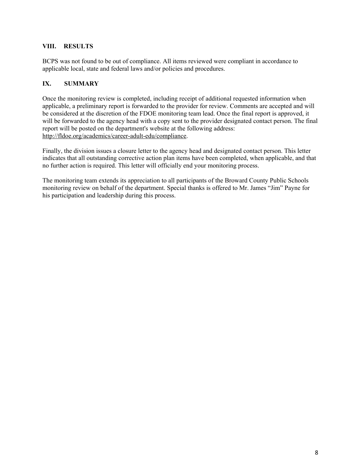#### **VIII. RESULTS**

BCPS was not found to be out of compliance. All items reviewed were compliant in accordance to applicable local, state and federal laws and/or policies and procedures.

#### **IX. SUMMARY**

Once the monitoring review is completed, including receipt of additional requested information when applicable, a preliminary report is forwarded to the provider for review. Comments are accepted and will be considered at the discretion of the FDOE monitoring team lead. Once the final report is approved, it will be forwarded to the agency head with a copy sent to the provider designated contact person. The final report will be posted on the department's website at the following address: http://fldoe.org/academics/career-adult-edu/compliance.

Finally, the division issues a closure letter to the agency head and designated contact person. This letter indicates that all outstanding corrective action plan items have been completed, when applicable, and that no further action is required. This letter will officially end your monitoring process.

The monitoring team extends its appreciation to all participants of the Broward County Public Schools monitoring review on behalf of the department. Special thanks is offered to Mr. James "Jim" Payne for his participation and leadership during this process.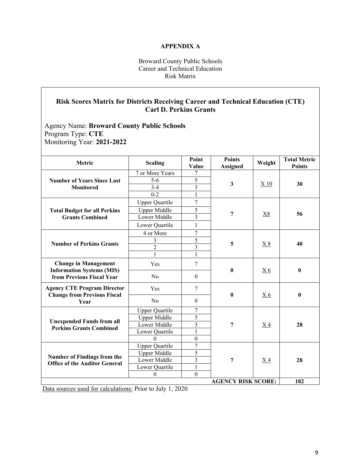#### **APPENDIX A**

#### Broward County Public Schools Career and Technical Education Risk Matrix

## **Risk Scores Matrix for Districts Receiving Career and Technical Education (CTE) Carl D. Perkins Grants**

Agency Name: **Broward County Public Schools**  Program Type: **CTE**  Monitoring Year: **2021-2022** 

| Metric                                                                   | <b>Scaling</b>        | Point<br>Value          | <b>Points</b><br><b>Assigned</b> | Weight         | <b>Total Metric</b><br><b>Points</b> |
|--------------------------------------------------------------------------|-----------------------|-------------------------|----------------------------------|----------------|--------------------------------------|
|                                                                          | 7 or More Years       | 7                       |                                  |                |                                      |
| <b>Number of Years Since Last</b>                                        | $5-6$                 | 5                       |                                  |                |                                      |
| <b>Monitored</b>                                                         | $3 - 4$               | $\overline{3}$          | 3                                | X 10           | 30                                   |
|                                                                          | $0 - 2$               | 1                       |                                  |                |                                      |
|                                                                          | <b>Upper Quartile</b> | $\overline{7}$          |                                  |                |                                      |
| <b>Total Budget for all Perkins</b>                                      | Upper Middle          | 5                       |                                  | <u>X8</u>      |                                      |
| <b>Grants Combined</b>                                                   | Lower Middle          | $\overline{3}$          | 7                                |                | 56                                   |
|                                                                          | Lower Quartile        | $\mathbf{1}$            |                                  |                |                                      |
|                                                                          | 4 or More             | $\overline{7}$          |                                  |                |                                      |
|                                                                          | 3                     | 5                       | 5                                |                | 40                                   |
| <b>Number of Perkins Grants</b>                                          | $\overline{2}$        | $\overline{3}$          |                                  | <u>X8</u>      |                                      |
|                                                                          | 1                     | 1                       |                                  |                |                                      |
| <b>Change in Management</b><br><b>Information Systems (MIS)</b>          | Yes                   | 7                       | $\bf{0}$                         | X <sub>6</sub> | $\bf{0}$                             |
| from Previous Fiscal Year                                                | N <sub>o</sub>        | $\mathbf{0}$            |                                  |                |                                      |
| <b>Agency CTE Program Director</b><br><b>Change from Previous Fiscal</b> | Yes                   | 7                       | $\bf{0}$                         | X <sub>6</sub> | $\bf{0}$                             |
| Year                                                                     | No                    | $\theta$                |                                  |                |                                      |
|                                                                          | <b>Upper Quartile</b> | 7                       |                                  |                |                                      |
|                                                                          | Upper Middle          | 5                       |                                  |                |                                      |
| <b>Unexpended Funds from all</b><br><b>Perkins Grants Combined</b>       | Lower Middle          | $\overline{\mathbf{3}}$ | 7                                | X4             | 28                                   |
|                                                                          | Lower Quartile        | $\mathbf{1}$            |                                  |                |                                      |
|                                                                          | $\Omega$              | $\boldsymbol{0}$        |                                  |                |                                      |
|                                                                          | <b>Upper Quartile</b> | 7                       |                                  |                |                                      |
| <b>Number of Findings from the</b>                                       | <b>Upper Middle</b>   | 5                       |                                  |                |                                      |
| <b>Office of the Auditor General</b>                                     | Lower Middle          | $\overline{3}$          | 7                                | X4             | 28                                   |
|                                                                          | Lower Quartile        | $\mathbf{1}$            |                                  |                |                                      |
|                                                                          | $\mathbf{0}$          | $\mathbf{0}$            |                                  |                |                                      |
| <b>AGENCY RISK SCORE:</b><br>182                                         |                       |                         |                                  |                |                                      |

Data sources used for calculations: Prior to July 1, 2020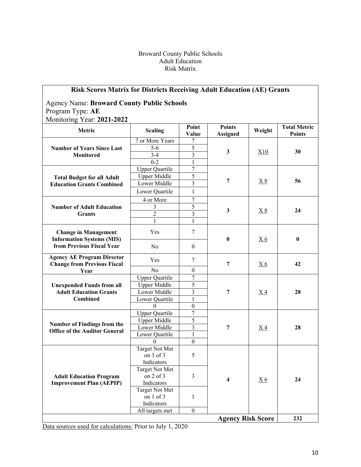#### Broward County Public Schools Adult Education Risk Matrix

## **Risk Scores Matrix for Districts Receiving Adult Education (AE) Grants**

Agency Name: **Broward County Public Schools**  Program Type: **AE**  Monitoring Year: **2021-2022** 

| <b>Metric</b>                                                                                | <b>Scaling</b>              | Point<br>Value          | <b>Points</b><br><b>Assigned</b> | Weight            | <b>Total Metric</b><br><b>Points</b> |
|----------------------------------------------------------------------------------------------|-----------------------------|-------------------------|----------------------------------|-------------------|--------------------------------------|
|                                                                                              | 7 or More Years             | 7                       |                                  |                   |                                      |
| <b>Number of Years Since Last</b><br><b>Monitored</b>                                        | $5-6$                       | 5                       | $\mathbf{3}$                     | X10               | 30                                   |
|                                                                                              | $3-4$                       | $\overline{3}$          |                                  |                   |                                      |
|                                                                                              | $0 - 2$                     | $\overline{1}$          |                                  |                   |                                      |
| <b>Total Budget for all Adult</b><br><b>Education Grants Combined</b>                        | <b>Upper Quartile</b>       | $\overline{7}$          |                                  |                   |                                      |
|                                                                                              | <b>Upper Middle</b>         | $\overline{5}$          |                                  |                   |                                      |
|                                                                                              | Lower Middle                | $\overline{3}$          | $\overline{7}$                   | X8                | 56                                   |
|                                                                                              | Lower Quartile              | $\mathbf{1}$            |                                  |                   |                                      |
|                                                                                              | 4 or More                   | $\boldsymbol{7}$        |                                  |                   |                                      |
| <b>Number of Adult Education</b>                                                             | 3                           | 5                       | $\mathbf{3}$                     |                   | 24                                   |
| <b>Grants</b>                                                                                | $\overline{2}$              | $\overline{\mathbf{3}}$ |                                  | $\underline{X} 8$ |                                      |
|                                                                                              | $\mathbf{1}$                | $\mathbf{1}$            |                                  |                   |                                      |
| <b>Change in Management</b><br><b>Information Systems (MIS)</b><br>from Previous Fiscal Year | Yes                         | $\tau$                  | $\bf{0}$                         | <u>X6</u>         | $\bf{0}$                             |
|                                                                                              | No                          | $\theta$                |                                  |                   |                                      |
| <b>Agency AE Program Director</b><br><b>Change from Previous Fiscal</b>                      | Yes                         | $\tau$                  | $\overline{7}$                   | <u>X6</u>         | 42                                   |
| Year                                                                                         | N <sub>o</sub>              | $\overline{0}$          |                                  |                   |                                      |
|                                                                                              | <b>Upper Quartile</b>       | $\overline{7}$          |                                  |                   |                                      |
| <b>Unexpended Funds from all</b>                                                             | <b>Upper Middle</b>         | 5                       |                                  |                   |                                      |
| <b>Adult Education Grants</b>                                                                | Lower Middle                | 3                       | $\overline{7}$                   | X <sub>4</sub>    | 28                                   |
| <b>Combined</b>                                                                              | Lower Quartile              | 1                       |                                  |                   |                                      |
|                                                                                              | $\Omega$                    | $\mathbf{0}$            |                                  |                   |                                      |
|                                                                                              | <b>Upper Quartile</b>       | $\overline{7}$          |                                  |                   |                                      |
| <b>Number of Findings from the</b>                                                           | <b>Upper Middle</b>         | 5                       |                                  |                   |                                      |
| <b>Office of the Auditor General</b>                                                         | Lower Middle                | 3                       | 7                                | X <sub>4</sub>    | 28                                   |
|                                                                                              | Lower Quartile              | $\mathbf{1}$            |                                  |                   |                                      |
|                                                                                              | $\theta$                    | $\overline{0}$          |                                  |                   |                                      |
|                                                                                              | <b>Target Not Met</b>       |                         |                                  |                   |                                      |
|                                                                                              | on 3 of 3                   | 5                       |                                  |                   |                                      |
|                                                                                              | Indicators                  |                         |                                  |                   |                                      |
|                                                                                              | Target Not Met              |                         |                                  |                   |                                      |
| <b>Adult Education Program</b>                                                               | on $2$ of $3$<br>Indicators | $\overline{3}$          | 4                                | X <sub>6</sub>    | 24                                   |
| <b>Improvement Plan (AEPIP)</b>                                                              | <b>Target Not Met</b>       |                         |                                  |                   |                                      |
|                                                                                              | on 1 of 3                   | $\mathbf{1}$            |                                  |                   |                                      |
|                                                                                              | Indicators                  |                         |                                  |                   |                                      |
|                                                                                              | All targets met             | $\theta$                |                                  |                   |                                      |
|                                                                                              |                             |                         | <b>Agency Risk Score</b>         |                   | 232                                  |

Data sources used for calculations: Prior to July 1, 2020